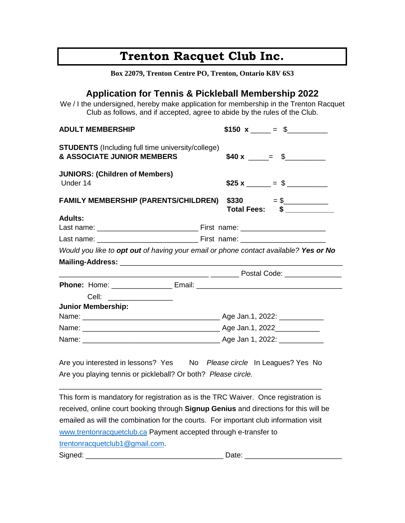# **Trenton Racquet Club Inc.**

| Box 22079, Trenton Centre PO, Trenton, Ontario K8V 6S3                                                                                                                                                                                |                              |
|---------------------------------------------------------------------------------------------------------------------------------------------------------------------------------------------------------------------------------------|------------------------------|
| <b>Application for Tennis &amp; Pickleball Membership 2022</b><br>We / I the undersigned, hereby make application for membership in the Trenton Racquet<br>Club as follows, and if accepted, agree to abide by the rules of the Club. |                              |
| <b>ADULT MEMBERSHIP</b>                                                                                                                                                                                                               | \$150 x $=$ \$               |
| <b>STUDENTS</b> (Including full time university/college)<br>& ASSOCIATE JUNIOR MEMBERS                                                                                                                                                | $$40 x \_ = $$               |
| <b>JUNIORS: (Children of Members)</b><br>Under 14                                                                                                                                                                                     |                              |
| <b>FAMILY MEMBERSHIP (PARENTS/CHILDREN)</b>                                                                                                                                                                                           | $$330 = $$<br>Total Fees: \$ |
| <b>Adults:</b>                                                                                                                                                                                                                        |                              |
|                                                                                                                                                                                                                                       |                              |
| Would you like to opt out of having your email or phone contact available? Yes or No                                                                                                                                                  |                              |
|                                                                                                                                                                                                                                       |                              |
|                                                                                                                                                                                                                                       |                              |
|                                                                                                                                                                                                                                       |                              |
| Cell:                                                                                                                                                                                                                                 |                              |
| <b>Junior Membership:</b>                                                                                                                                                                                                             |                              |
|                                                                                                                                                                                                                                       |                              |
|                                                                                                                                                                                                                                       |                              |
|                                                                                                                                                                                                                                       |                              |
| Are you interested in lessons? Yes No Please circle In Leagues? Yes No<br>Are you playing tennis or pickleball? Or both? Please circle.                                                                                               |                              |
| This farm is mondator to registration as is the $TDC$ Weiver $Q$ nes registration is                                                                                                                                                  |                              |

This form is mandatory for registration as is the TRC Waiver. Once registration is received, online court booking through **Signup Genius** and directions for this will be emailed as will the combination for the courts. For important club information visit [www.trentonracquetclub.ca](http://www.trentonracquetclub.ca/) Payment accepted through e-transfer to trentonracquetclub1@gmail.com.

Signed: \_\_\_\_\_\_\_\_\_\_\_\_\_\_\_\_\_\_\_\_\_\_\_\_\_\_\_\_\_\_\_\_\_\_ Date: \_\_\_\_\_\_\_\_\_\_\_\_\_\_\_\_\_\_\_\_\_\_\_\_